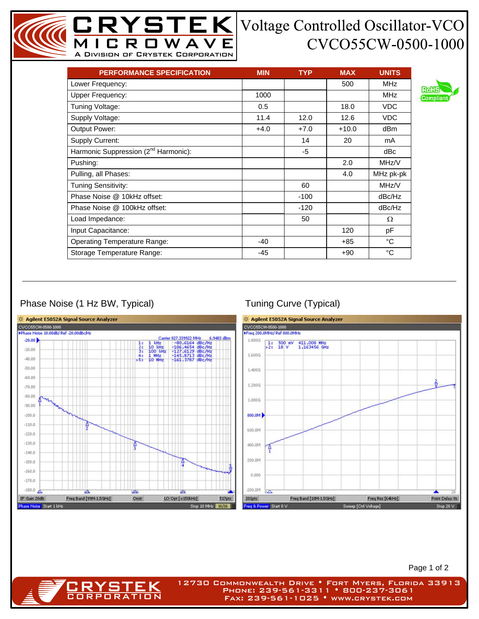## CVCO55CW-0500-1000

| <b>PERFORMANCE SPECIFICATION</b>                 | <b>MIN</b> | <b>TYP</b> | <b>MAX</b> | <b>UNITS</b> |
|--------------------------------------------------|------------|------------|------------|--------------|
| Lower Frequency:                                 |            |            | 500        | <b>MHz</b>   |
| <b>Upper Frequency:</b>                          | 1000       |            |            | <b>MHz</b>   |
| Tuning Voltage:                                  | 0.5        |            | 18.0       | <b>VDC</b>   |
| Supply Voltage:                                  | 11.4       | 12.0       | 12.6       | <b>VDC</b>   |
| Output Power:                                    | $+4.0$     | $+7.0$     | $+10.0$    | dBm          |
| Supply Current:                                  |            | 14         | 20         | mA           |
| Harmonic Suppression (2 <sup>nd</sup> Harmonic): |            | -5         |            | dBc          |
| Pushing:                                         |            |            | 2.0        | MHz/V        |
| Pulling, all Phases:                             |            |            | 4.0        | MHz pk-pk    |
| <b>Tuning Sensitivity:</b>                       |            | 60         |            | MHz/V        |
| Phase Noise @ 10kHz offset:                      |            | $-100$     |            | dBc/Hz       |
| Phase Noise @ 100kHz offset:                     |            | $-120$     |            | dBc/Hz       |
| Load Impedance:                                  |            | 50         |            | Ω            |
| Input Capacitance:                               |            |            | 120        | pF           |
| <b>Operating Temperature Range:</b>              | -40        |            | +85        | $^{\circ}C$  |
| Storage Temperature Range:                       | -45        |            | $+90$      | °C           |

MICROWAVE A Division of Crystek Corporation

## Phase Noise (1 Hz BW, Typical) Tuning Curve (Typical)

**CRYSTEK** 



Page 1 of 2

12730 Commonwealth Drive • Fort Myers, Florida 33913 Phone: 239-561-3311 • 800-237-3061 Fax: 239-561-1025 • www.crystek.com